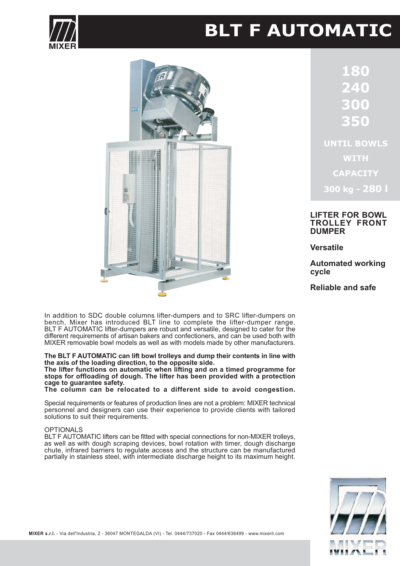

# **BLT F AUTOMATIC**



0 **UNTIL BOWLS WITH CAPACITY** 

**LIFTER FOR BOWL TROLLEY FRONT** 

300 kg - 280 l

**Versatile** 

**DUMPER** 

**Automated working** cycle

Reliable and safe

In addition to SDC double columns lifter-dumpers and to SRC lifter-dumpers on bench, Mixer has introduced BLT line to complete the lifter-dumper range. BLT F AUTOMATIC lifter-dumpers are robust and versatile, designed to cater for the different requirements of artisan bakers and confectioners, and can be used both with MIXER removable bowl models as well as with models made by other manufacturers.

The BLT F AUTOMATIC can lift bowl trolleys and dump their contents in line with the axis of the loading direction, to the opposite side.

The lifter functions on automatic when lifting and on a timed programme for stops for offloading of dough. The lifter has been provided with a protection cage to quarantee safety.

The column can be relocated to a different side to avoid congestion.

Special requirements or features of production lines are not a problem: MIXER technical personnel and designers can use their experience to provide clients with tailored solutions to suit their requirements.

#### **OPTIONALS**

BLT F AUTOMATIC lifters can be fitted with special connections for non-MIXER trolleys, as well as with dough scraping devices, bowl rotation with timer, dough discharge chute, infrared barriers to regulate access and the structure can be manufactured partially in stainless steel, with intermediate discharge height to its maximum height.